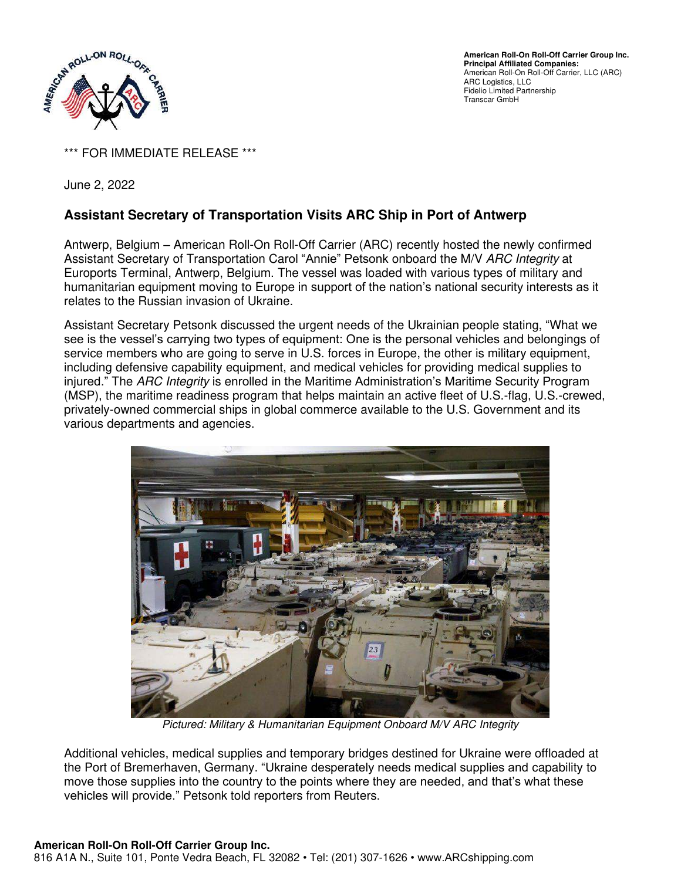

**American Roll-On Roll-Off Carrier Group Inc. Principal Affiliated Companies:**  American Roll-On Roll-Off Carrier, LLC (ARC) ARC Logistics, LLC Fidelio Limited Partnership Transcar GmbH

\*\*\* FOR IMMEDIATE RELEASE \*\*\*

June 2, 2022

## **Assistant Secretary of Transportation Visits ARC Ship in Port of Antwerp**

Antwerp, Belgium – American Roll-On Roll-Off Carrier (ARC) recently hosted the newly confirmed Assistant Secretary of Transportation Carol "Annie" Petsonk onboard the M/V ARC Integrity at Euroports Terminal, Antwerp, Belgium. The vessel was loaded with various types of military and humanitarian equipment moving to Europe in support of the nation's national security interests as it relates to the Russian invasion of Ukraine.

Assistant Secretary Petsonk discussed the urgent needs of the Ukrainian people stating, "What we see is the vessel's carrying two types of equipment: One is the personal vehicles and belongings of service members who are going to serve in U.S. forces in Europe, the other is military equipment, including defensive capability equipment, and medical vehicles for providing medical supplies to injured." The ARC Integrity is enrolled in the Maritime Administration's Maritime Security Program (MSP), the maritime readiness program that helps maintain an active fleet of U.S.-flag, U.S.-crewed, privately-owned commercial ships in global commerce available to the U.S. Government and its various departments and agencies.



Pictured: Military & Humanitarian Equipment Onboard M/V ARC Integrity

Additional vehicles, medical supplies and temporary bridges destined for Ukraine were offloaded at the Port of Bremerhaven, Germany. "Ukraine desperately needs medical supplies and capability to move those supplies into the country to the points where they are needed, and that's what these vehicles will provide." Petsonk told reporters from Reuters.